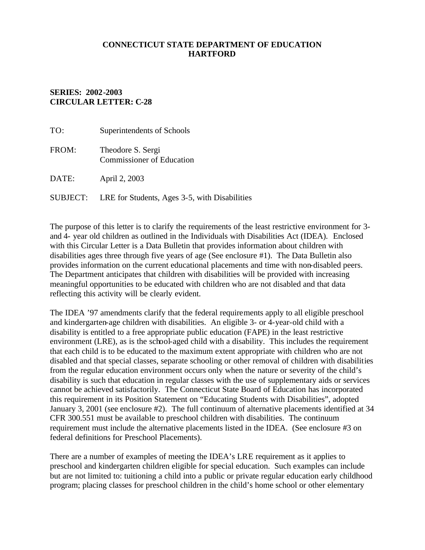## **CONNECTICUT STATE DEPARTMENT OF EDUCATION HARTFORD**

## **SERIES: 2002-2003 CIRCULAR LETTER: C-28**

| TO:             | Superintendents of Schools                            |
|-----------------|-------------------------------------------------------|
| FROM:           | Theodore S. Sergi<br><b>Commissioner of Education</b> |
| DATE:           | April 2, 2003                                         |
| <b>SUBJECT:</b> | LRE for Students, Ages 3-5, with Disabilities         |

The purpose of this letter is to clarify the requirements of the least restrictive environment for 3 and 4- year old children as outlined in the Individuals with Disabilities Act (IDEA). Enclosed with this Circular Letter is a Data Bulletin that provides information about children with disabilities ages three through five years of age (See enclosure #1). The Data Bulletin also provides information on the current educational placements and time with non-disabled peers. The Department anticipates that children with disabilities will be provided with increasing meaningful opportunities to be educated with children who are not disabled and that data reflecting this activity will be clearly evident.

The IDEA '97 amendments clarify that the federal requirements apply to all eligible preschool and kindergarten-age children with disabilities. An eligible 3- or 4-year-old child with a disability is entitled to a free appropriate public education (FAPE) in the least restrictive environment (LRE), as is the school-aged child with a disability. This includes the requirement that each child is to be educated to the maximum extent appropriate with children who are not disabled and that special classes, separate schooling or other removal of children with disabilities from the regular education environment occurs only when the nature or severity of the child's disability is such that education in regular classes with the use of supplementary aids or services cannot be achieved satisfactorily. The Connecticut State Board of Education has incorporated this requirement in its Position Statement on "Educating Students with Disabilities", adopted January 3, 2001 (see enclosure #2). The full continuum of alternative placements identified at 34 CFR 300.551 must be available to preschool children with disabilities. The continuum requirement must include the alternative placements listed in the IDEA. (See enclosure #3 on federal definitions for Preschool Placements).

There are a number of examples of meeting the IDEA's LRE requirement as it applies to preschool and kindergarten children eligible for special education. Such examples can include but are not limited to: tuitioning a child into a public or private regular education early childhood program; placing classes for preschool children in the child's home school or other elementary